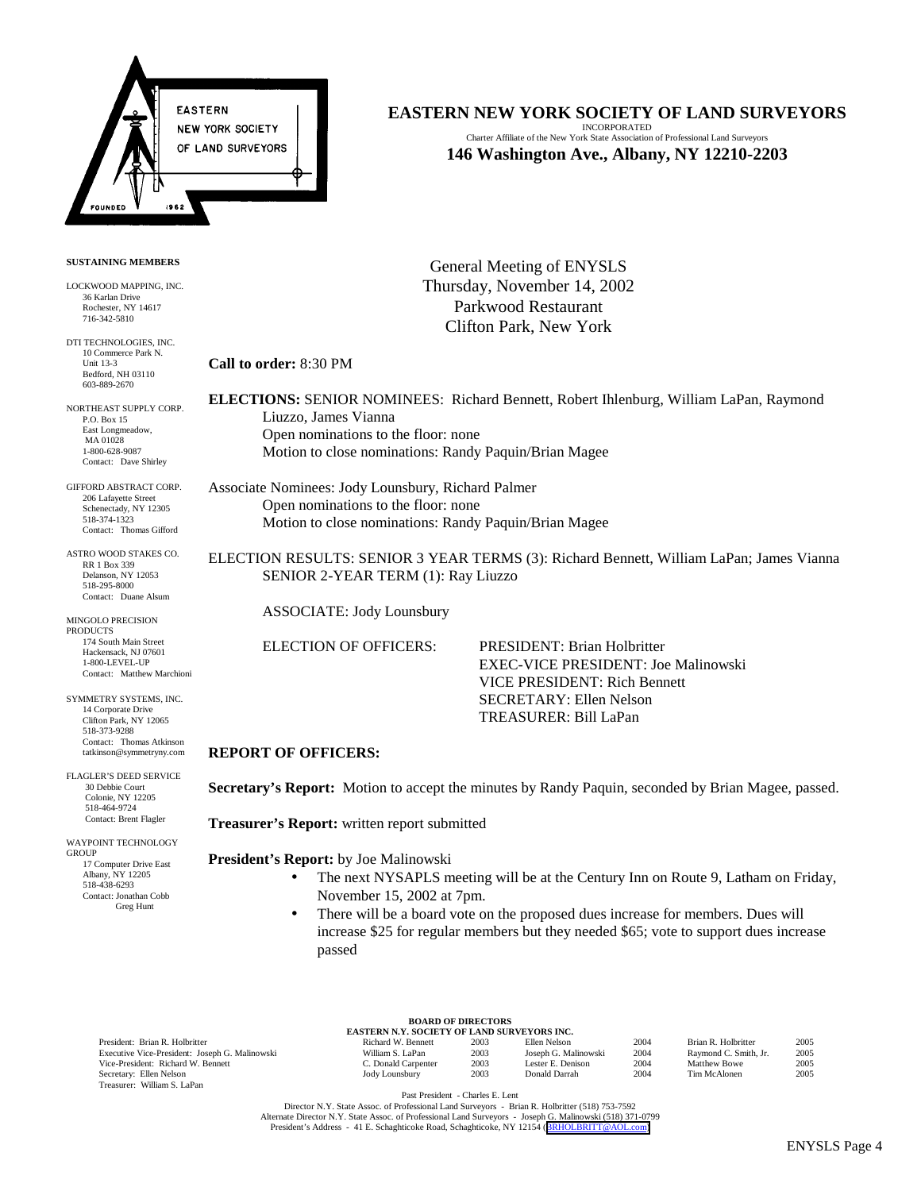

#### **SUSTAINING MEMBERS**

LOCKWOOD MAPPING, INC. 36 Karlan Drive Rochester, NY 14617 716-342-5810

DTI TECHNOLOGIES, INC. 10 Commerce Park N. Unit 13-3 Bedford, NH 03110 603-889-2670

NORTHEAST SUPPLY CORP. P.O. Box 15 East Longmeadow, MA 01028 1-800-628-9087 Contact: Dave Shirley

GIFFORD ABSTRACT CORP. 206 Lafayette Street Schenectady, NY 12305 518-374-1323 Contact: Thomas Gifford

ASTRO WOOD STAKES CO. RR 1 Box 339 Delanson, NY 12053 518-295-8000 Contact: Duane Alsum

MINGOLO PRECISION PRODUCTS 174 South Main Street Hackensack, NJ 07601 1-800-LEVEL-UP Contact: Matthew Marchioni

SYMMETRY SYSTEMS, INC. 14 Corporate Drive Clifton Park, NY 12065 518-373-9288 Contact: Thomas Atkinson tatkinson@symmetryny.com

FLAGLER'S DEED SERVICE 30 Debbie Court Colonie, NY 12205 518-464-9724 Contact: Brent Flagler

WAYPOINT TECHNOLOGY **GROUP**  17 Computer Drive East Albany, NY 12205 518-438-6293 Contact: Jonathan Cobb Greg Hunt

**EASTERN NEW YORK SOCIETY OF LAND SURVEYORS**

INCORPORATED Charter Affiliate of the New York State Association of Professional Land Surveyors **146 Washington Ave., Albany, NY 12210-2203**

General Meeting of ENYSLS Thursday, November 14, 2002 Parkwood Restaurant Clifton Park, New York

**Call to order:** 8:30 PM

**ELECTIONS:** SENIOR NOMINEES: Richard Bennett, Robert Ihlenburg, William LaPan, Raymond Liuzzo, James Vianna Open nominations to the floor: none Motion to close nominations: Randy Paquin/Brian Magee

Associate Nominees: Jody Lounsbury, Richard Palmer Open nominations to the floor: none Motion to close nominations: Randy Paquin/Brian Magee

ELECTION RESULTS: SENIOR 3 YEAR TERMS (3): Richard Bennett, William LaPan; James Vianna SENIOR 2-YEAR TERM (1): Ray Liuzzo

ASSOCIATE: Jody Lounsbury

ELECTION OF OFFICERS: PRESIDENT: Brian Holbritter EXEC-VICE PRESIDENT: Joe Malinowski VICE PRESIDENT: Rich Bennett SECRETARY: Ellen Nelson TREASURER: Bill LaPan

## **REPORT OF OFFICERS:**

**Secretary's Report:** Motion to accept the minutes by Randy Paquin, seconded by Brian Magee, passed.

**Treasurer's Report:** written report submitted

**President's Report:** by Joe Malinowski

- The next NYSAPLS meeting will be at the Century Inn on Route 9, Latham on Friday, November 15, 2002 at 7pm.
- There will be a board vote on the proposed dues increase for members. Dues will increase \$25 for regular members but they needed \$65; vote to support dues increase passed

President: Brian R. Holbritter Executive Vice-President: Joseph G. Malinowski Vice-President: Richard W. Bennett Secretary: Ellen Nelson Treasurer: William S. LaPan

| <b>BOARD OF DIRECTORS</b>                   |  |  |  |  |  |  |  |
|---------------------------------------------|--|--|--|--|--|--|--|
| EASTERN N.Y. SOCIETY OF LAND SURVEYORS INC. |  |  |  |  |  |  |  |
|                                             |  |  |  |  |  |  |  |

| Richard W. Bennett  | 2003 | Ellen Nelson         | 2004 | Brian R. Holbritter   | 2005 |
|---------------------|------|----------------------|------|-----------------------|------|
| William S. LaPan    | 2003 | Joseph G. Malinowski | 2004 | Raymond C. Smith, Jr. | 2005 |
| C. Donald Carpenter | 2003 | Lester E. Denison    | 2004 | Matthew Bowe          | 2005 |
| Jody Lounsbury      | 2003 | Donald Darrah        | 2004 | Tim McAlonen          | 2005 |
|                     |      |                      |      |                       |      |

Past President - Charles E. Lent

Director N.Y. State Assoc. of Professional Land Surveyors - Brian R. Holbritter (518) 753-7592 Alternate Director N.Y. State Assoc. of Professional Land Surveyors - Joseph G. Malinowski (518) 371-0799 President's Address - 41 E. Schaghticoke Road, Schaghticoke, NY 12154 ([BRHOLBRITT@AOL.com\)](mailto:BRHOLBRITT@AOL.com)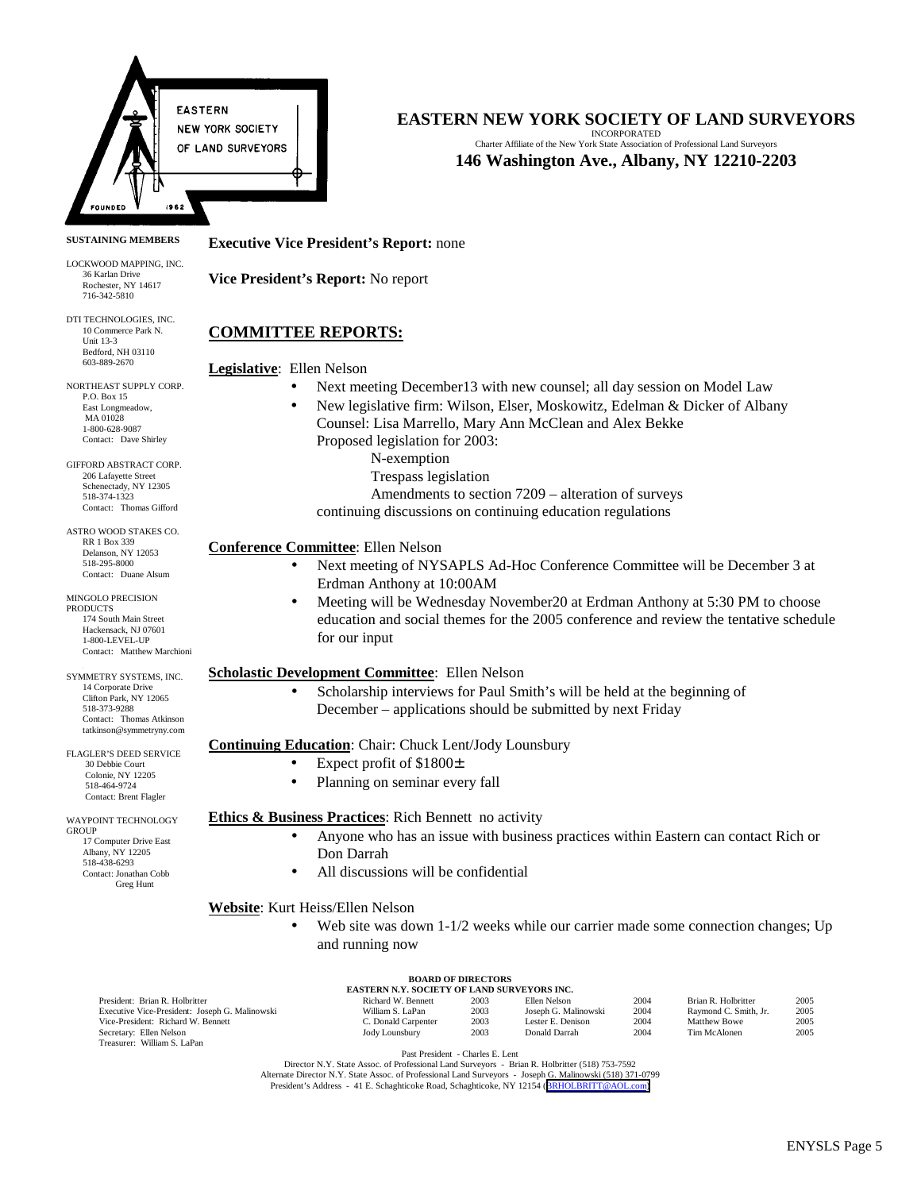

#### **SUSTAINING MEMBERS**

LOCKWOOD MAPPING, INC. 36 Karlan Drive Rochester, NY 14617 716-342-5810

DTI TECHNOLOGIES, INC. 10 Commerce Park N. Unit 13-3 Bedford, NH 03110 603-889-2670

NORTHEAST SUPPLY CORP. P.O. Box 15 East Longmeadow, MA 01028 1-800-628-9087 Contact: Dave Shirley

GIFFORD ABSTRACT CORP. 206 Lafayette Street Schenectady, NY 12305 518-374-1323 Contact: Thomas Gifford

ASTRO WOOD STAKES CO. RR 1 Box 339 Delanson, NY 12053 518-295-8000 Contact: Duane Alsum

MINGOLO PRECISION PRODUCTS 174 South Main Street Hackensack, NJ 07601 1-800-LEVEL-UP Contact: Matthew Marchion

3 SYMMETRY SYSTEMS, INC. 14 Corporate Drive Clifton Park, NY 12065 518-373-9288 Contact: Thomas Atkinson tatkinson@symmetryny.com

FLAGLER'S DEED SERVICE 30 Debbie Court Colonie, NY 12205 518-464-9724 Contact: Brent Flagler

WAYPOINT TECHNOLOGY GROUP 17 Computer Drive East Albany, NY 12205 518-438-6293 Contact: Jonathan Cobb Greg Hunt

# **EASTERN NEW YORK SOCIETY OF LAND SURVEYORS**

INCORPORATED Charter Affiliate of the New York State Association of Professional Land Surveyors **146 Washington Ave., Albany, NY 12210-2203**

#### **Executive Vice President's Report:** none

**Vice President's Report:** No report

## **COMMITTEE REPORTS:**

**Legislative**: Ellen Nelson

- Next meeting December13 with new counsel; all day session on Model Law
	- New legislative firm: Wilson, Elser, Moskowitz, Edelman & Dicker of Albany Counsel: Lisa Marrello, Mary Ann McClean and Alex Bekke Proposed legislation for 2003:
		- N-exemption
		- Trespass legislation
		- Amendments to section 7209 alteration of surveys
		- continuing discussions on continuing education regulations

## **Conference Committee**: Ellen Nelson

- Next meeting of NYSAPLS Ad-Hoc Conference Committee will be December 3 at Erdman Anthony at 10:00AM
- Meeting will be Wednesday November20 at Erdman Anthony at 5:30 PM to choose education and social themes for the 2005 conference and review the tentative schedule for our input

## **Scholastic Development Committee**: Ellen Nelson

• Scholarship interviews for Paul Smith's will be held at the beginning of December – applications should be submitted by next Friday

#### **Continuing Education**: Chair: Chuck Lent/Jody Lounsbury

- Expect profit of \$1800±
- Planning on seminar every fall

#### **Ethics & Business Practices:** Rich Bennett no activity

- Anyone who has an issue with business practices within Eastern can contact Rich or Don Darrah
- All discussions will be confidential

## **Website**: Kurt Heiss/Ellen Nelson

Web site was down 1-1/2 weeks while our carrier made some connection changes; Up and running now

| <b>BOARD OF DIRECTORS</b><br><b>EASTERN N.Y. SOCIETY OF LAND SURVEYORS INC.</b> |                     |      |                      |      |                       |      |
|---------------------------------------------------------------------------------|---------------------|------|----------------------|------|-----------------------|------|
| President: Brian R. Holbritter                                                  | Richard W. Bennett  | 2003 | Ellen Nelson         | 2004 | Brian R. Holbritter   | 2005 |
| Executive Vice-President: Joseph G. Malinowski                                  | William S. LaPan    | 2003 | Joseph G. Malinowski | 2004 | Raymond C. Smith, Jr. | 2005 |
| Vice-President: Richard W. Bennett                                              | C. Donald Carpenter | 2003 | Lester E. Denison    | 2004 | <b>Matthew Bowe</b>   | 2005 |
| Secretary: Ellen Nelson                                                         | Jody Lounsbury      | 2003 | Donald Darrah        | 2004 | Tim McAlonen          | 2005 |
| Treasurer: William S. LaPan                                                     |                     |      |                      |      |                       |      |

Past President - Charles E. Lent

Director N.Y. State Assoc. of Professional Land Surveyors - Brian R. Holbritter (518) 753-7592 Alternate Director N.Y. State Assoc. of Professional Land Surveyors - Joseph G. Malinowski (518) 371-0799<br>President's Address - 41 E. Schaghticoke Road, Schaghticoke, NY 12154 ([BRHOLBRITT@AOL.com\)](mailto:BRHOLBRITT@AOL.com)